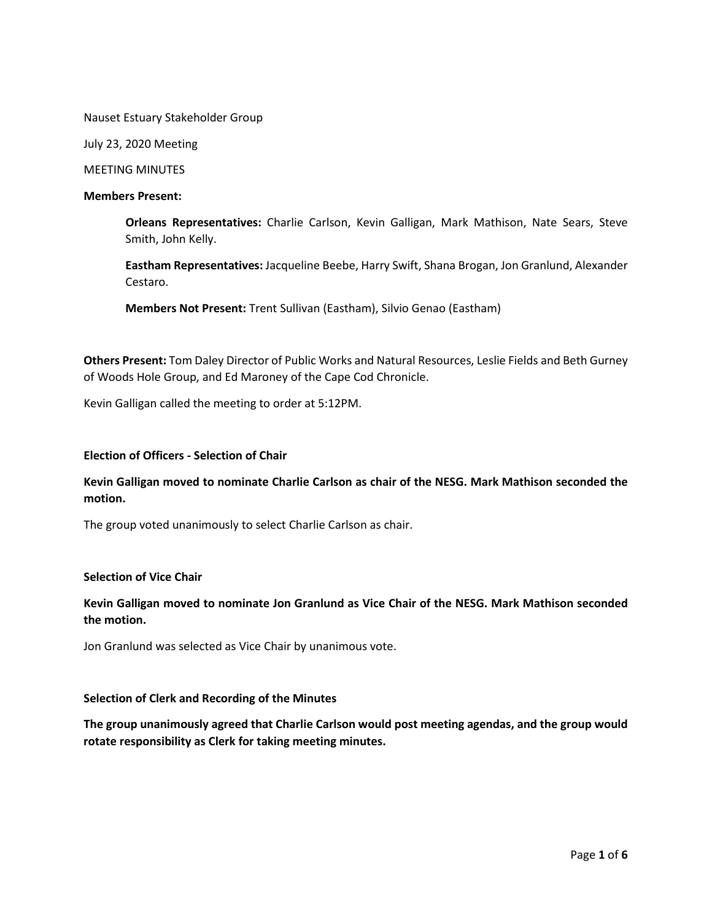Nauset Estuary Stakeholder Group

July 23, 2020 Meeting

MEETING MINUTES

#### **Members Present:**

**Orleans Representatives:** Charlie Carlson, Kevin Galligan, Mark Mathison, Nate Sears, Steve Smith, John Kelly.

**Eastham Representatives:** Jacqueline Beebe, Harry Swift, Shana Brogan, Jon Granlund, Alexander Cestaro.

**Members Not Present:** Trent Sullivan (Eastham), Silvio Genao (Eastham)

**Others Present:** Tom Daley Director of Public Works and Natural Resources, Leslie Fields and Beth Gurney of Woods Hole Group, and Ed Maroney of the Cape Cod Chronicle.

Kevin Galligan called the meeting to order at 5:12PM.

### **Election of Officers - Selection of Chair**

# **Kevin Galligan moved to nominate Charlie Carlson as chair of the NESG. Mark Mathison seconded the motion.**

The group voted unanimously to select Charlie Carlson as chair.

### **Selection of Vice Chair**

**Kevin Galligan moved to nominate Jon Granlund as Vice Chair of the NESG. Mark Mathison seconded the motion.** 

Jon Granlund was selected as Vice Chair by unanimous vote.

#### **Selection of Clerk and Recording of the Minutes**

**The group unanimously agreed that Charlie Carlson would post meeting agendas, and the group would rotate responsibility as Clerk for taking meeting minutes.**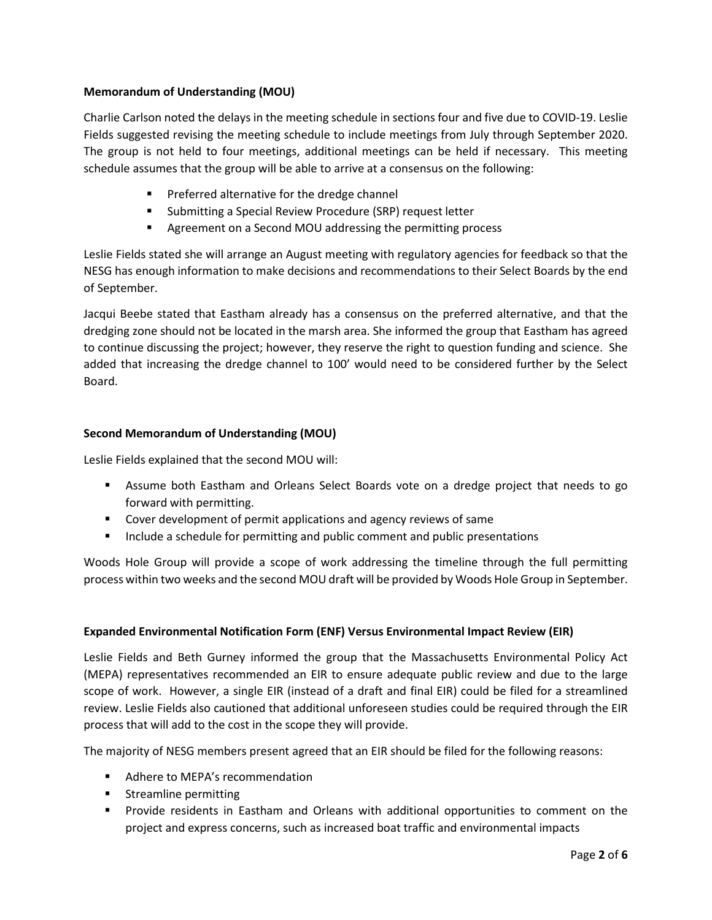# **Memorandum of Understanding (MOU)**

Charlie Carlson noted the delays in the meeting schedule in sections four and five due to COVID-19. Leslie Fields suggested revising the meeting schedule to include meetings from July through September 2020. The group is not held to four meetings, additional meetings can be held if necessary. This meeting schedule assumes that the group will be able to arrive at a consensus on the following:

- **Preferred alternative for the dredge channel**
- Submitting a Special Review Procedure (SRP) request letter
- Agreement on a Second MOU addressing the permitting process

Leslie Fields stated she will arrange an August meeting with regulatory agencies for feedback so that the NESG has enough information to make decisions and recommendations to their Select Boards by the end of September.

Jacqui Beebe stated that Eastham already has a consensus on the preferred alternative, and that the dredging zone should not be located in the marsh area. She informed the group that Eastham has agreed to continue discussing the project; however, they reserve the right to question funding and science. She added that increasing the dredge channel to 100' would need to be considered further by the Select Board.

# **Second Memorandum of Understanding (MOU)**

Leslie Fields explained that the second MOU will:

- Assume both Eastham and Orleans Select Boards vote on a dredge project that needs to go forward with permitting.
- Cover development of permit applications and agency reviews of same
- **Include a schedule for permitting and public comment and public presentations**

Woods Hole Group will provide a scope of work addressing the timeline through the full permitting process within two weeks and the second MOU draft will be provided by Woods Hole Group in September.

# **Expanded Environmental Notification Form (ENF) Versus Environmental Impact Review (EIR)**

Leslie Fields and Beth Gurney informed the group that the Massachusetts Environmental Policy Act (MEPA) representatives recommended an EIR to ensure adequate public review and due to the large scope of work. However, a single EIR (instead of a draft and final EIR) could be filed for a streamlined review. Leslie Fields also cautioned that additional unforeseen studies could be required through the EIR process that will add to the cost in the scope they will provide.

The majority of NESG members present agreed that an EIR should be filed for the following reasons:

- **Adhere to MEPA's recommendation**
- **EXECUTE:** Streamline permitting
- **Provide residents in Eastham and Orleans with additional opportunities to comment on the** project and express concerns, such as increased boat traffic and environmental impacts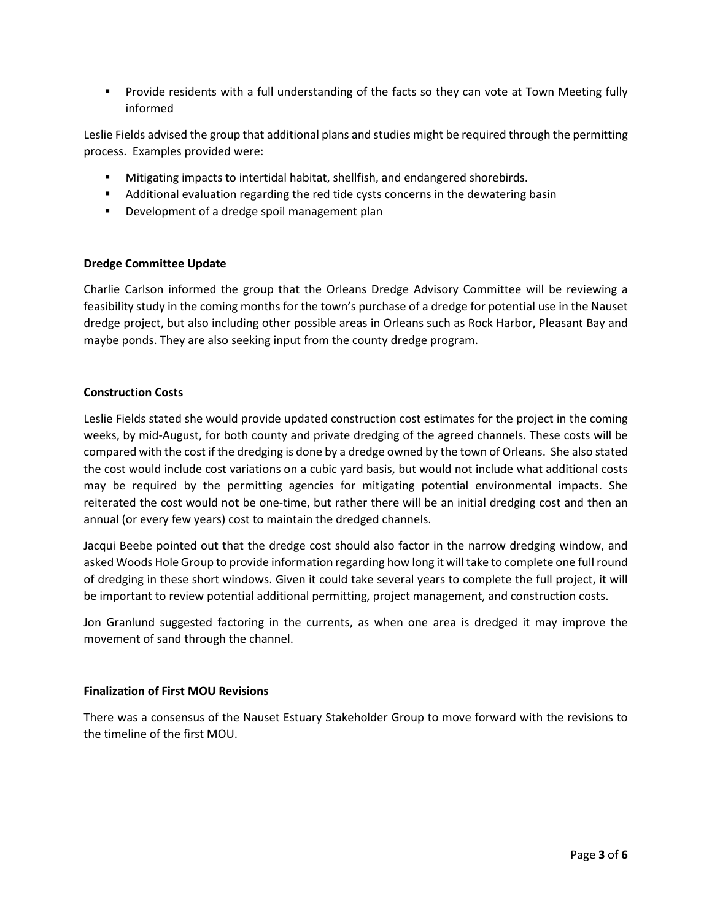Provide residents with a full understanding of the facts so they can vote at Town Meeting fully informed

Leslie Fields advised the group that additional plans and studies might be required through the permitting process. Examples provided were:

- Mitigating impacts to intertidal habitat, shellfish, and endangered shorebirds.
- Additional evaluation regarding the red tide cysts concerns in the dewatering basin
- **Development of a dredge spoil management plan**

## **Dredge Committee Update**

Charlie Carlson informed the group that the Orleans Dredge Advisory Committee will be reviewing a feasibility study in the coming months for the town's purchase of a dredge for potential use in the Nauset dredge project, but also including other possible areas in Orleans such as Rock Harbor, Pleasant Bay and maybe ponds. They are also seeking input from the county dredge program.

## **Construction Costs**

Leslie Fields stated she would provide updated construction cost estimates for the project in the coming weeks, by mid-August, for both county and private dredging of the agreed channels. These costs will be compared with the cost if the dredging is done by a dredge owned by the town of Orleans. She also stated the cost would include cost variations on a cubic yard basis, but would not include what additional costs may be required by the permitting agencies for mitigating potential environmental impacts. She reiterated the cost would not be one-time, but rather there will be an initial dredging cost and then an annual (or every few years) cost to maintain the dredged channels.

Jacqui Beebe pointed out that the dredge cost should also factor in the narrow dredging window, and asked Woods Hole Group to provide information regarding how long it will take to complete one full round of dredging in these short windows. Given it could take several years to complete the full project, it will be important to review potential additional permitting, project management, and construction costs.

Jon Granlund suggested factoring in the currents, as when one area is dredged it may improve the movement of sand through the channel.

### **Finalization of First MOU Revisions**

There was a consensus of the Nauset Estuary Stakeholder Group to move forward with the revisions to the timeline of the first MOU.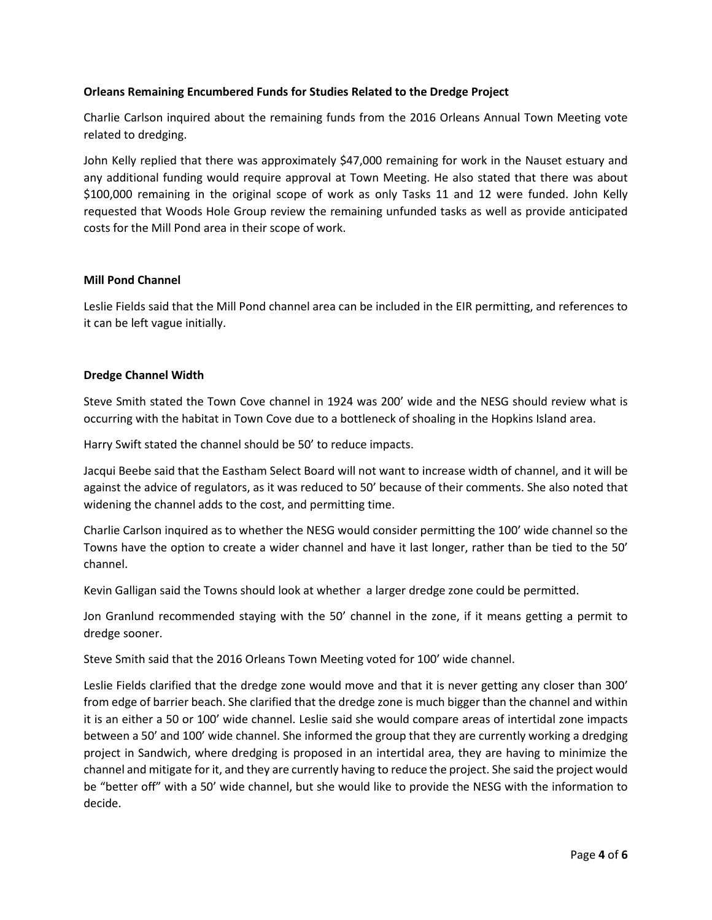# **Orleans Remaining Encumbered Funds for Studies Related to the Dredge Project**

Charlie Carlson inquired about the remaining funds from the 2016 Orleans Annual Town Meeting vote related to dredging.

John Kelly replied that there was approximately \$47,000 remaining for work in the Nauset estuary and any additional funding would require approval at Town Meeting. He also stated that there was about \$100,000 remaining in the original scope of work as only Tasks 11 and 12 were funded. John Kelly requested that Woods Hole Group review the remaining unfunded tasks as well as provide anticipated costs for the Mill Pond area in their scope of work.

## **Mill Pond Channel**

Leslie Fields said that the Mill Pond channel area can be included in the EIR permitting, and references to it can be left vague initially.

## **Dredge Channel Width**

Steve Smith stated the Town Cove channel in 1924 was 200' wide and the NESG should review what is occurring with the habitat in Town Cove due to a bottleneck of shoaling in the Hopkins Island area.

Harry Swift stated the channel should be 50' to reduce impacts.

Jacqui Beebe said that the Eastham Select Board will not want to increase width of channel, and it will be against the advice of regulators, as it was reduced to 50' because of their comments. She also noted that widening the channel adds to the cost, and permitting time.

Charlie Carlson inquired as to whether the NESG would consider permitting the 100' wide channel so the Towns have the option to create a wider channel and have it last longer, rather than be tied to the 50' channel.

Kevin Galligan said the Towns should look at whether a larger dredge zone could be permitted.

Jon Granlund recommended staying with the 50' channel in the zone, if it means getting a permit to dredge sooner.

Steve Smith said that the 2016 Orleans Town Meeting voted for 100' wide channel.

Leslie Fields clarified that the dredge zone would move and that it is never getting any closer than 300' from edge of barrier beach. She clarified that the dredge zone is much bigger than the channel and within it is an either a 50 or 100' wide channel. Leslie said she would compare areas of intertidal zone impacts between a 50' and 100' wide channel. She informed the group that they are currently working a dredging project in Sandwich, where dredging is proposed in an intertidal area, they are having to minimize the channel and mitigate for it, and they are currently having to reduce the project. She said the project would be "better off" with a 50' wide channel, but she would like to provide the NESG with the information to decide.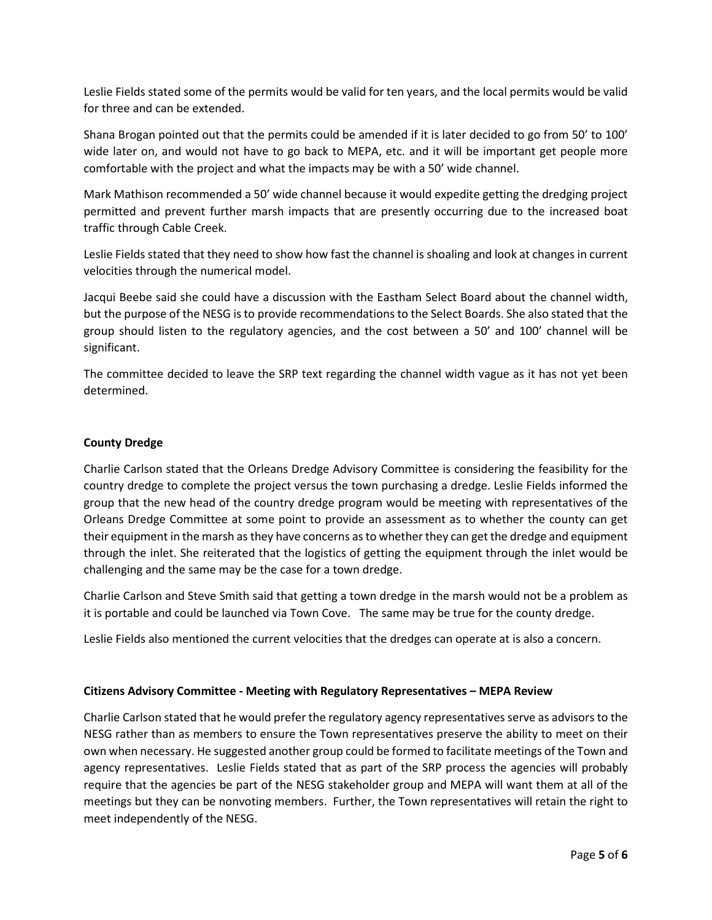Leslie Fields stated some of the permits would be valid for ten years, and the local permits would be valid for three and can be extended.

Shana Brogan pointed out that the permits could be amended if it is later decided to go from 50' to 100' wide later on, and would not have to go back to MEPA, etc. and it will be important get people more comfortable with the project and what the impacts may be with a 50' wide channel.

Mark Mathison recommended a 50' wide channel because it would expedite getting the dredging project permitted and prevent further marsh impacts that are presently occurring due to the increased boat traffic through Cable Creek.

Leslie Fields stated that they need to show how fast the channel is shoaling and look at changes in current velocities through the numerical model.

Jacqui Beebe said she could have a discussion with the Eastham Select Board about the channel width, but the purpose of the NESG is to provide recommendations to the Select Boards. She also stated that the group should listen to the regulatory agencies, and the cost between a 50' and 100' channel will be significant.

The committee decided to leave the SRP text regarding the channel width vague as it has not yet been determined.

# **County Dredge**

Charlie Carlson stated that the Orleans Dredge Advisory Committee is considering the feasibility for the country dredge to complete the project versus the town purchasing a dredge. Leslie Fields informed the group that the new head of the country dredge program would be meeting with representatives of the Orleans Dredge Committee at some point to provide an assessment as to whether the county can get their equipment in the marsh as they have concerns as to whether they can get the dredge and equipment through the inlet. She reiterated that the logistics of getting the equipment through the inlet would be challenging and the same may be the case for a town dredge.

Charlie Carlson and Steve Smith said that getting a town dredge in the marsh would not be a problem as it is portable and could be launched via Town Cove. The same may be true for the county dredge.

Leslie Fields also mentioned the current velocities that the dredges can operate at is also a concern.

# **Citizens Advisory Committee - Meeting with Regulatory Representatives – MEPA Review**

Charlie Carlson stated that he would prefer the regulatory agency representatives serve as advisors to the NESG rather than as members to ensure the Town representatives preserve the ability to meet on their own when necessary. He suggested another group could be formed to facilitate meetings of the Town and agency representatives. Leslie Fields stated that as part of the SRP process the agencies will probably require that the agencies be part of the NESG stakeholder group and MEPA will want them at all of the meetings but they can be nonvoting members. Further, the Town representatives will retain the right to meet independently of the NESG.